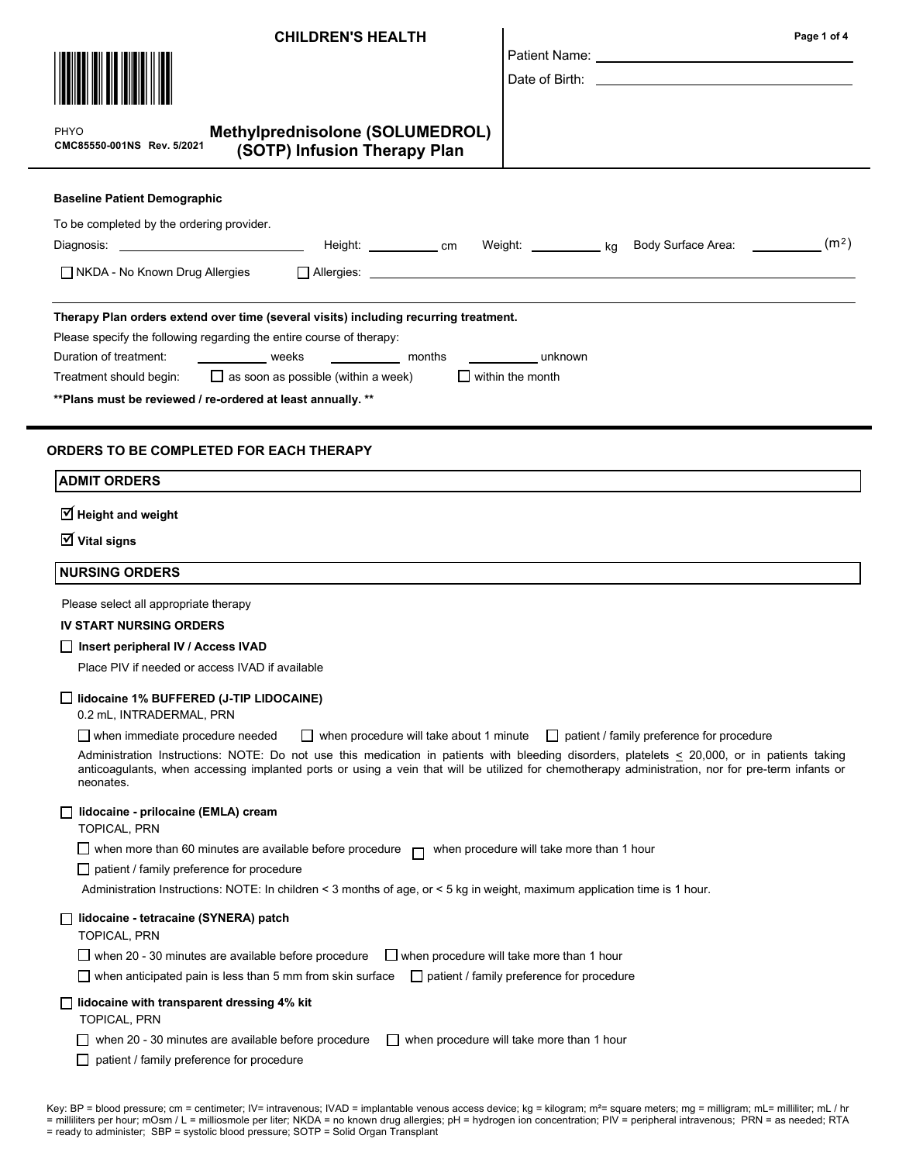| <b>CHILDREN'S HEALTH</b> |  |
|--------------------------|--|
|--------------------------|--|



 $\mathbf{P}$ 

PHYO

### Methylprednisolone (SOLUMEDROL) (SOTP) Infusion Therapy Plan CMC85550-001NS Rev. 5/2021

| <b>Baseline Patient Demographic</b>                                                                                                                                                                                                                                                                                                                                                                     |  |  |  |
|---------------------------------------------------------------------------------------------------------------------------------------------------------------------------------------------------------------------------------------------------------------------------------------------------------------------------------------------------------------------------------------------------------|--|--|--|
| To be completed by the ordering provider.                                                                                                                                                                                                                                                                                                                                                               |  |  |  |
| (m <sup>2</sup> )<br>Height: _______________ cm<br>Body Surface Area: _________<br>Weight: ka                                                                                                                                                                                                                                                                                                           |  |  |  |
| $\Box$ NKDA - No Known Drug Allergies                                                                                                                                                                                                                                                                                                                                                                   |  |  |  |
| Therapy Plan orders extend over time (several visits) including recurring treatment.<br>Please specify the following regarding the entire course of therapy:<br>Duration of treatment:<br><b>Example 18</b> Weeks<br>months<br>unknown<br>$\Box$ as soon as possible (within a week)<br>I I within the month<br>Treatment should begin:<br>** Plans must be reviewed / re-ordered at least annually. ** |  |  |  |
| <b>ORDERS TO BE COMPLETED FOR EACH THERAPY</b>                                                                                                                                                                                                                                                                                                                                                          |  |  |  |
| <b>ADMIT ORDERS</b>                                                                                                                                                                                                                                                                                                                                                                                     |  |  |  |
| $\triangledown$ Height and weight                                                                                                                                                                                                                                                                                                                                                                       |  |  |  |
| $\overline{\mathcal{U}}$ Vital signs                                                                                                                                                                                                                                                                                                                                                                    |  |  |  |
| <b>NURSING ORDERS</b>                                                                                                                                                                                                                                                                                                                                                                                   |  |  |  |
| Please select all appropriate therapy                                                                                                                                                                                                                                                                                                                                                                   |  |  |  |
| <b>IV START NURSING ORDERS</b>                                                                                                                                                                                                                                                                                                                                                                          |  |  |  |
| □ Insert peripheral IV / Access IVAD                                                                                                                                                                                                                                                                                                                                                                    |  |  |  |
| Place PIV if needed or access IVAD if available                                                                                                                                                                                                                                                                                                                                                         |  |  |  |
| lidocaine 1% BUFFERED (J-TIP LIDOCAINE)<br>0.2 mL, INTRADERMAL, PRN                                                                                                                                                                                                                                                                                                                                     |  |  |  |
| $\Box$ when immediate procedure needed<br>when procedure will take about 1 minute $\Box$ patient / family preference for procedure                                                                                                                                                                                                                                                                      |  |  |  |
| Administration Instructions: NOTE: Do not use this medication in patients with bleeding disorders, platelets < 20,000, or in patients taking<br>anticoagulants, when accessing implanted ports or using a vein that will be utilized for chemotherapy administration, nor for pre-term infants or<br>neonates.                                                                                          |  |  |  |
| lidocaine - prilocaine (EMLA) cream<br>TOPICAL, PRN                                                                                                                                                                                                                                                                                                                                                     |  |  |  |
| □ when more than 60 minutes are available before procedure $\Box$ when procedure will take more than 1 hour                                                                                                                                                                                                                                                                                             |  |  |  |
| $\Box$ patient / family preference for procedure                                                                                                                                                                                                                                                                                                                                                        |  |  |  |
| Administration Instructions: NOTE: In children < 3 months of age, or < 5 kg in weight, maximum application time is 1 hour.                                                                                                                                                                                                                                                                              |  |  |  |
| lidocaine - tetracaine (SYNERA) patch<br>TOPICAL, PRN                                                                                                                                                                                                                                                                                                                                                   |  |  |  |
| $\Box$ when 20 - 30 minutes are available before procedure<br>$\Box$ when procedure will take more than 1 hour                                                                                                                                                                                                                                                                                          |  |  |  |
| ◯ when anticipated pain is less than 5 mm from skin surface $□$ patient / family preference for procedure                                                                                                                                                                                                                                                                                               |  |  |  |

Patient Name: Date of Birth:

### $\Box$  lidocaine with transparent dressing 4% kit

TOPICAL, PRN

□ patient / family preference for procedure

Key: BP = blood pressure; cm = centimeter; IV= intravenous; IVAD = implantable venous access device; kg = kilogram; m²= square meters; mg = milligram; mL= milliliter; mL / hr = milliliters per hour; mOsm / L = milliosmole per liter; NKDA = no known drug allergies; pH = hydrogen ion concentration; PIV = peripheral intravenous; PRN = as needed; RTA = ready to administer; SBP = systolic blood pressure; SOTP = Solid Organ Transplant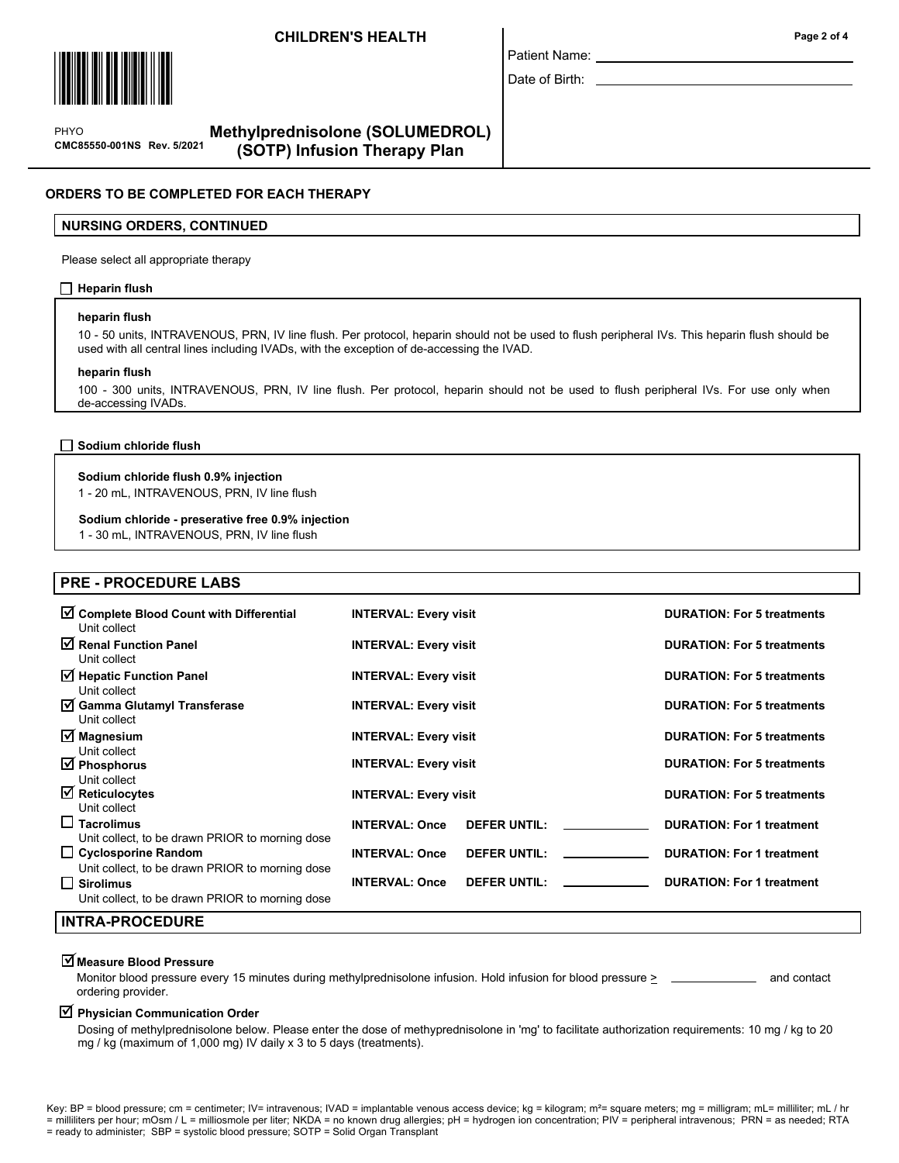# CHILDREN'S HEALTH Page 2 of 4



 $\mathbf{P}$ CMC85550-001NS Rev. 5/2021 PHYO

# Methylprednisolone (SOLUMEDROL) (SOTP) Infusion Therapy Plan

# ORDERS TO BE COMPLETED FOR EACH THERAPY

### NURSING ORDERS, CONTINUED

Please select all appropriate therapy

### $\Box$  Heparin flush

### heparin flush

10 - 50 units, INTRAVENOUS, PRN, IV line flush. Per protocol, heparin should not be used to flush peripheral IVs. This heparin flush should be used with all central lines including IVADs, with the exception of de-accessing the IVAD.

### heparin flush

100 - 300 units, INTRAVENOUS, PRN, IV line flush. Per protocol, heparin should not be used to flush peripheral IVs. For use only when de-accessing IVADs.

Sodium chloride flush

### Sodium chloride flush 0.9% injection

1 - 20 mL, INTRAVENOUS, PRN, IV line flush

### Sodium chloride - preserative free 0.9% injection

1 - 30 mL, INTRAVENOUS, PRN, IV line flush

# PRE - PROCEDURE LABS

| Complete Blood Count with Differential<br>Unit collect                                                              | <b>INTERVAL: Every visit</b>                 | <b>DURATION: For 5 treatments</b> |
|---------------------------------------------------------------------------------------------------------------------|----------------------------------------------|-----------------------------------|
| $\sqrt{ }$ Renal Function Panel<br>Unit collect                                                                     | <b>INTERVAL: Every visit</b>                 | <b>DURATION: For 5 treatments</b> |
| $\triangleright$ Hepatic Function Panel<br>Unit collect                                                             | <b>INTERVAL: Every visit</b>                 | <b>DURATION: For 5 treatments</b> |
| <b>Ø</b> Gamma Glutamyl Transferase<br>Unit collect                                                                 | <b>INTERVAL: Every visit</b>                 | <b>DURATION: For 5 treatments</b> |
| $\overline{\mathsf{M}}$ Magnesium<br>Unit collect                                                                   | <b>INTERVAL: Every visit</b>                 | <b>DURATION: For 5 treatments</b> |
| $\overline{\mathcal{A}}$ Phosphorus<br>Unit collect                                                                 | <b>INTERVAL: Every visit</b>                 | <b>DURATION: For 5 treatments</b> |
| $\boxtimes$ Reticulocytes<br>Unit collect                                                                           | <b>INTERVAL: Every visit</b>                 | <b>DURATION: For 5 treatments</b> |
| $\Box$ Tacrolimus<br>Unit collect, to be drawn PRIOR to morning dose                                                | <b>INTERVAL: Once</b><br><b>DEFER UNTIL:</b> | <b>DURATION: For 1 treatment</b>  |
| $\Box$ Cyclosporine Random                                                                                          | <b>INTERVAL: Once</b><br><b>DEFER UNTIL:</b> | <b>DURATION: For 1 treatment</b>  |
| Unit collect, to be drawn PRIOR to morning dose<br>│ │ Sirolimus<br>Unit collect, to be drawn PRIOR to morning dose | <b>INTERVAL: Once</b><br><b>DEFER UNTIL:</b> | <b>DURATION: For 1 treatment</b>  |
| <b>INTRA-PROCEDURE</b>                                                                                              |                                              |                                   |

# $\overline{\Delta}$ Measure Blood Pressure

Monitor blood pressure every 15 minutes during methylprednisolone infusion. Hold infusion for blood pressure > and contact ordering provider.

# $\overline{\mathsf{Y}}$  Physician Communication Order

Dosing of methylprednisolone below. Please enter the dose of methyprednisolone in 'mg' to facilitate authorization requirements: 10 mg / kg to 20 mg / kg (maximum of 1,000 mg) IV daily x 3 to 5 days (treatments).

Key: BP = blood pressure; cm = centimeter; IV= intravenous; IVAD = implantable venous access device; kg = kilogram; m<sup>2</sup>= square meters; mg = milligram; mL= milliliter; mL / hr = milliliters per hour; mOsm / L = milliosmole per liter; NKDA = no known drug allergies; pH = hydrogen ion concentration; PIV = peripheral intravenous; PRN = as needed; RTA

### = ready to administer; SBP = systolic blood pressure; SOTP = Solid Organ Transplant

Patient Name: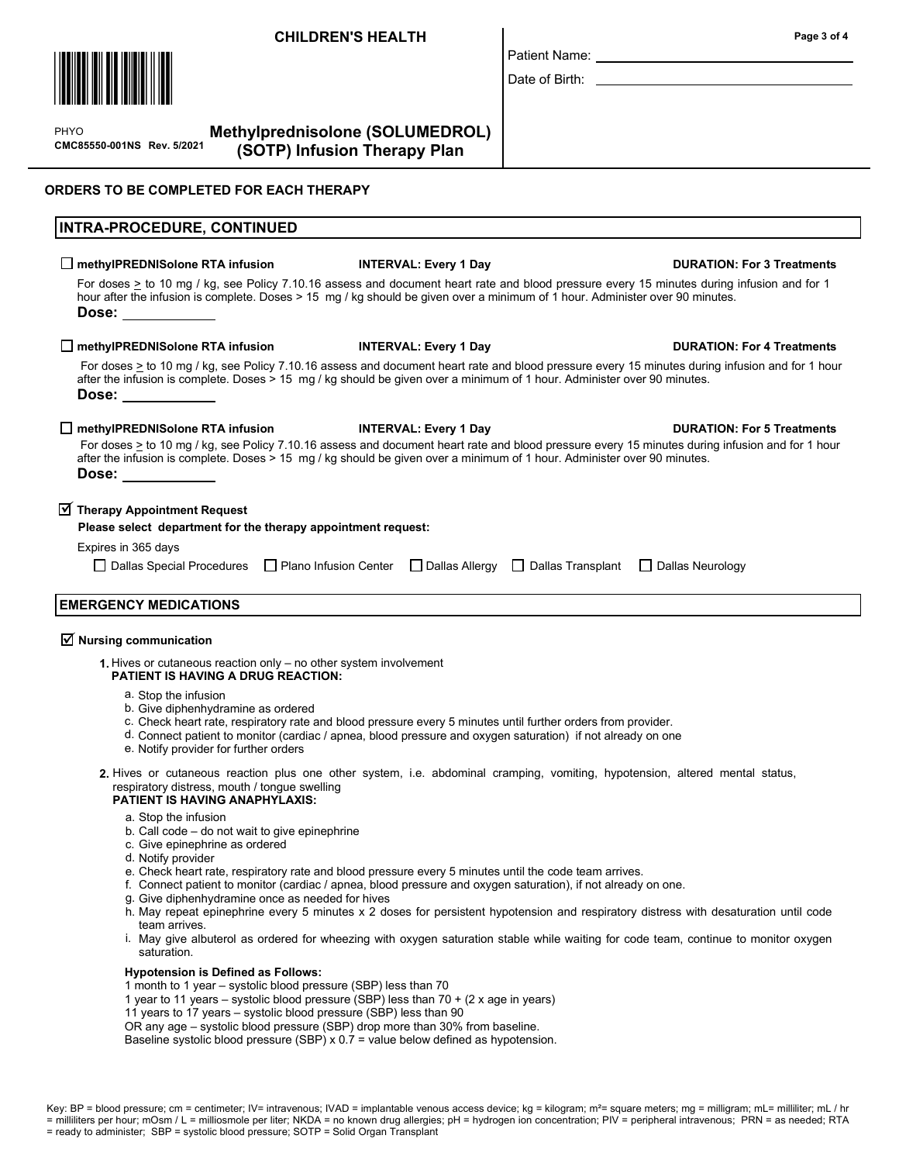# CHILDREN'S HEALTH Page 3 of 4



 $\mathbf{P}$ CMC85550-001NS Rev. 5/2021 PHYO

Methylprednisolone (SOLUMEDROL) (SOTP) Infusion Therapy Plan

# ORDERS TO BE COMPLETED FOR EACH THERAPY

# INTRA-PROCEDURE, CONTINUED  $\square$  methylPREDNISolone RTA infusion INTERVAL: Every 1 Day DURATION: For 3 Treatments For doses > to 10 mg / kg, see Policy 7.10.16 assess and document heart rate and blood pressure every 15 minutes during infusion and for 1 hour after the infusion is complete. Doses > 15 mg / kg should be given over a minimum of 1 hour. Administer over 90 minutes. Dose: □ methylPREDNISolone RTA infusion INTERVAL: Every 1 Day Interval DURATION: For 4 Treatments For doses > to 10 mg / kg, see Policy 7.10.16 assess and document heart rate and blood pressure every 15 minutes during infusion and for 1 hour after the infusion is complete. Doses > 15 mg / kg should be given over a minimum of 1 hour. Administer over 90 minutes. Dose: □ methylPREDNISolone RTA infusion INTERVAL: Every 1 Day DURATION: For 5 Treatments For doses  $\ge$  to 10 mg / kg, see Policy 7.10.16 assess and document heart rate and blood pressure every 15 minutes during infusion and for 1 hour after the infusion is complete. Doses > 15 mg / kg should be given over a minimum of 1 hour. Administer over 90 minutes. Dose:  $\overline{\textbf{y}}$  Therapy Appointment Request Please select department for the therapy appointment request: Expires in 365 days  $\Box$  Dallas Special Procedures  $\Box$  Plano Infusion Center  $\Box$  Dallas Allergy  $\Box$  Dallas Transplant  $\Box$  Dallas Neurology EMERGENCY MEDICATIONS

# $\overline{\triangleleft}$  Nursing communication

1. Hives or cutaneous reaction only – no other system involvement PATIENT IS HAVING A DRUG REACTION:

- a. Stop the infusion
- b. Give diphenhydramine as ordered
- c. Check heart rate, respiratory rate and blood pressure every 5 minutes until further orders from provider.
- d. Connect patient to monitor (cardiac / apnea, blood pressure and oxygen saturation) if not already on one
- e. Notify provider for further orders
- 2. Hives or cutaneous reaction plus one other system, i.e. abdominal cramping, vomiting, hypotension, altered mental status, respiratory distress, mouth / tongue swelling

### PATIENT IS HAVING ANAPHYLAXIS:

- a. Stop the infusion
- b. Call code do not wait to give epinephrine
- c. Give epinephrine as ordered
- d. Notify provider
- e. Check heart rate, respiratory rate and blood pressure every 5 minutes until the code team arrives.
- f. Connect patient to monitor (cardiac / apnea, blood pressure and oxygen saturation), if not already on one.
- Give diphenhydramine once as needed for hives g.
- h. May repeat epinephrine every 5 minutes x 2 doses for persistent hypotension and respiratory distress with desaturation until code team arrives.
- May give albuterol as ordered for wheezing with oxygen saturation stable while waiting for code team, continue to monitor oxygen i. saturation.

### Hypotension is Defined as Follows:

1 month to 1 year – systolic blood pressure (SBP) less than 70

- 1 year to 11 years systolic blood pressure (SBP) less than 70 + (2 x age in years)
- 11 years to 17 years systolic blood pressure (SBP) less than 90

OR any age – systolic blood pressure (SBP) drop more than 30% from baseline.

Baseline systolic blood pressure (SBP)  $\times$  0.7 = value below defined as hypotension.

Patient Name:

Date of Birth:

Key: BP = blood pressure; cm = centimeter; IV= intravenous; IVAD = implantable venous access device; kg = kilogram; m<sup>2</sup>= square meters; mg = milligram; mL= milliliter; mL / hr = milliliters per hour; mOsm / L = milliosmole per liter; NKDA = no known drug allergies; pH = hydrogen ion concentration; PIV = peripheral intravenous; PRN = as needed; RTA = ready to administer; SBP = systolic blood pressure; SOTP = Solid Organ Transplant